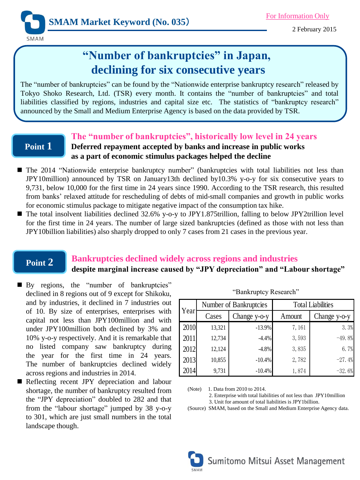2 February 2015

# **"Number of bankruptcies" in Japan, declining for six consecutive years**

The "number of bankruptcies" can be found by the "Nationwide enterprise bankruptcy research" released by Tokyo Shoko Research, Ltd. (TSR) every month. It contains the "number of bankruptcies" and total liabilities classified by regions, industries and capital size etc. The statistics of "bankruptcy research" announced by the Small and Medium Enterprise Agency is based on the data provided by TSR.

### **Point 1**

**SMAM** 

### **The "number of bankruptcies", historically low level in 24 years Deferred repayment accepted by banks and increase in public works as a part of economic stimulus packages helped the decline**

- The 2014 "Nationwide enterprise bankruptcy number" (bankruptcies with total liabilities not less than JPY10million) announced by TSR on January13th declined by10.3% y-o-y for six consecutive years to 9,731, below 10,000 for the first time in 24 years since 1990. According to the TSR research, this resulted from banks' relaxed attitude for rescheduling of debts of mid-small companies and growth in public works for economic stimulus package to mitigate negative impact of the consumption tax hike.
- The total insolvent liabilities declined 32.6% y-o-y to JPY1.875trillion, falling to below JPY2trillion level for the first time in 24 years. The number of large sized bankruptcies (defined as those with not less than JPY10billion liabilities) also sharply dropped to only 7 cases from 21 cases in the previous year.

## **Point 2**

# **Bankruptcies declined widely across regions and industries**

## **despite marginal increase caused by "JPY depreciation" and "Labour shortage"**

- By regions, the "number of bankruptcies" declined in 8 regions out of 9 except for Shikoku, and by industries, it declined in 7 industries out of 10. By size of enterprises, enterprises with capital not less than JPY100million and with under JPY100million both declined by 3% and 10% y-o-y respectively. And it is remarkable that no listed company saw bankruptcy during the year for the first time in 24 years. The number of bankruptcies declined widely across regions and industries in 2014.
- Reflecting recent JPY depreciation and labour shortage, the number of bankruptcy resulted from the "JPY depreciation" doubled to 282 and that from the "labour shortage" jumped by 38 y-o-y to 301, which are just small numbers in the total landscape though.

| Year | Number of Bankruptcies |              | <b>Total Liabilities</b> |              |
|------|------------------------|--------------|--------------------------|--------------|
|      | Cases                  | Change y-o-y | Amount                   | Change y-o-y |
| 2010 | 13,321                 | $-13.9%$     | 7,161                    | 3.3%         |
| 2011 | 12,734                 | $-4.4%$      | 3,593                    | $-49.8%$     |
| 2012 | 12,124                 | $-4.8%$      | 3,835                    | 6.7%         |
| 2013 | 10,855                 | $-10.4%$     | 2,782                    | $-27.4%$     |
| 2014 | 9,731                  | $-10.4%$     | 1,874                    | $-32.6%$     |

"Bankruptcy Research"

(Note) 1. Data from 2010 to 2014.

 2. Enterprise with total liabilities of not less than JPY10million 3. Unit for amount of total liabilities is JPY1billion.

(Source) SMAM, based on the Small and Medium Enterprise Agency data.